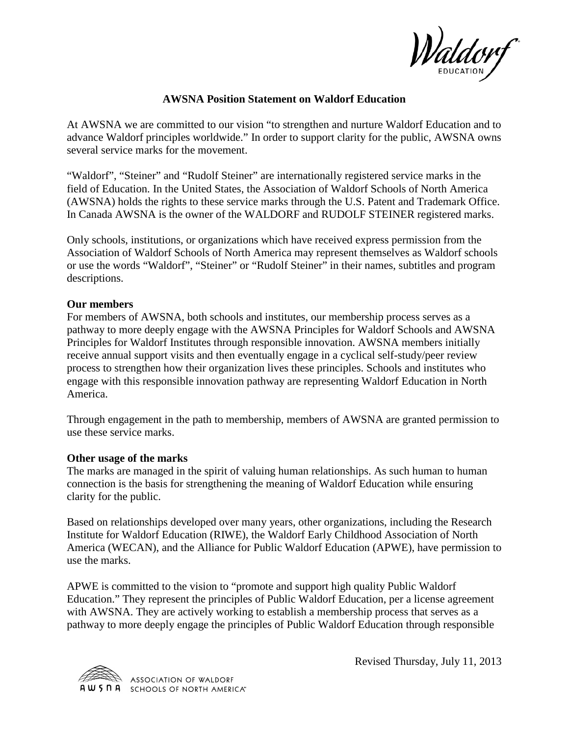

## **AWSNA Position Statement on Waldorf Education**

At AWSNA we are committed to our vision "to strengthen and nurture Waldorf Education and to advance Waldorf principles worldwide." In order to support clarity for the public, AWSNA owns several service marks for the movement.

"Waldorf", "Steiner" and "Rudolf Steiner" are internationally registered service marks in the field of Education. In the United States, the Association of Waldorf Schools of North America (AWSNA) holds the rights to these service marks through the U.S. Patent and Trademark Office. In Canada AWSNA is the owner of the WALDORF and RUDOLF STEINER registered marks.

Only schools, institutions, or organizations which have received express permission from the Association of Waldorf Schools of North America may represent themselves as Waldorf schools or use the words "Waldorf", "Steiner" or "Rudolf Steiner" in their names, subtitles and program descriptions.

## **Our members**

For members of AWSNA, both schools and institutes, our membership process serves as a pathway to more deeply engage with the AWSNA Principles for Waldorf Schools and AWSNA Principles for Waldorf Institutes through responsible innovation. AWSNA members initially receive annual support visits and then eventually engage in a cyclical self-study/peer review process to strengthen how their organization lives these principles. Schools and institutes who engage with this responsible innovation pathway are representing Waldorf Education in North America.

Through engagement in the path to membership, members of AWSNA are granted permission to use these service marks.

## **Other usage of the marks**

The marks are managed in the spirit of valuing human relationships. As such human to human connection is the basis for strengthening the meaning of Waldorf Education while ensuring clarity for the public.

Based on relationships developed over many years, other organizations, including the Research Institute for Waldorf Education (RIWE), the Waldorf Early Childhood Association of North America (WECAN), and the Alliance for Public Waldorf Education (APWE), have permission to use the marks.

APWE is committed to the vision to "promote and support high quality Public Waldorf Education." They represent the principles of Public Waldorf Education, per a license agreement with AWSNA. They are actively working to establish a membership process that serves as a pathway to more deeply engage the principles of Public Waldorf Education through responsible



Revised Thursday, July 11, 2013